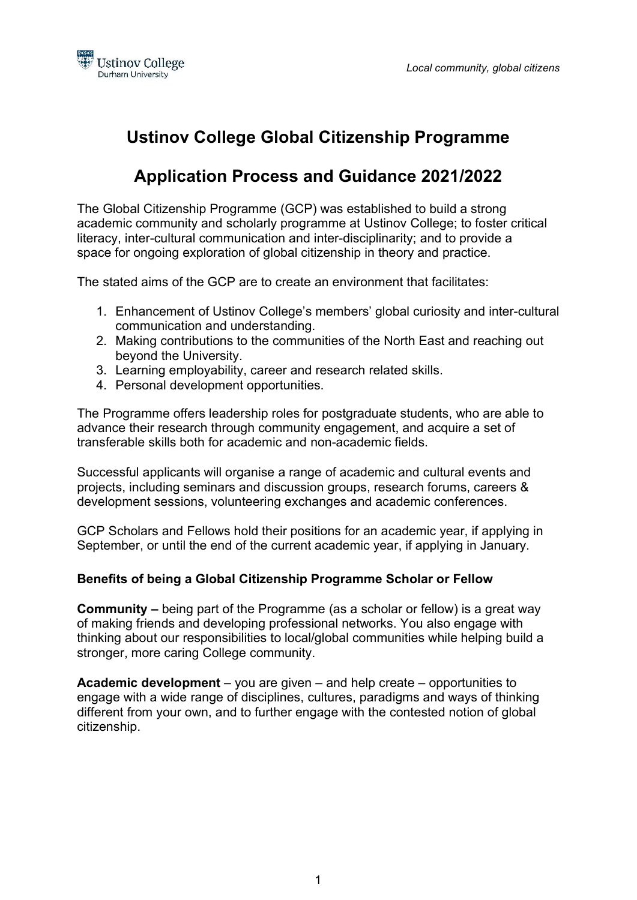

# Ustinov College Global Citizenship Programme

# Application Process and Guidance 2021/2022

The Global Citizenship Programme (GCP) was established to build a strong academic community and scholarly programme at Ustinov College; to foster critical literacy, inter-cultural communication and inter-disciplinarity; and to provide a space for ongoing exploration of global citizenship in theory and practice.

The stated aims of the GCP are to create an environment that facilitates:

- 1. Enhancement of Ustinov College's members' global curiosity and inter-cultural communication and understanding.
- 2. Making contributions to the communities of the North East and reaching out beyond the University.
- 3. Learning employability, career and research related skills.
- 4. Personal development opportunities.

The Programme offers leadership roles for postgraduate students, who are able to advance their research through community engagement, and acquire a set of transferable skills both for academic and non-academic fields.

Successful applicants will organise a range of academic and cultural events and projects, including seminars and discussion groups, research forums, careers & development sessions, volunteering exchanges and academic conferences.

GCP Scholars and Fellows hold their positions for an academic year, if applying in September, or until the end of the current academic year, if applying in January.

### Benefits of being a Global Citizenship Programme Scholar or Fellow

Community – being part of the Programme (as a scholar or fellow) is a great way of making friends and developing professional networks. You also engage with thinking about our responsibilities to local/global communities while helping build a stronger, more caring College community.

Academic development – you are given – and help create – opportunities to engage with a wide range of disciplines, cultures, paradigms and ways of thinking different from your own, and to further engage with the contested notion of global citizenship.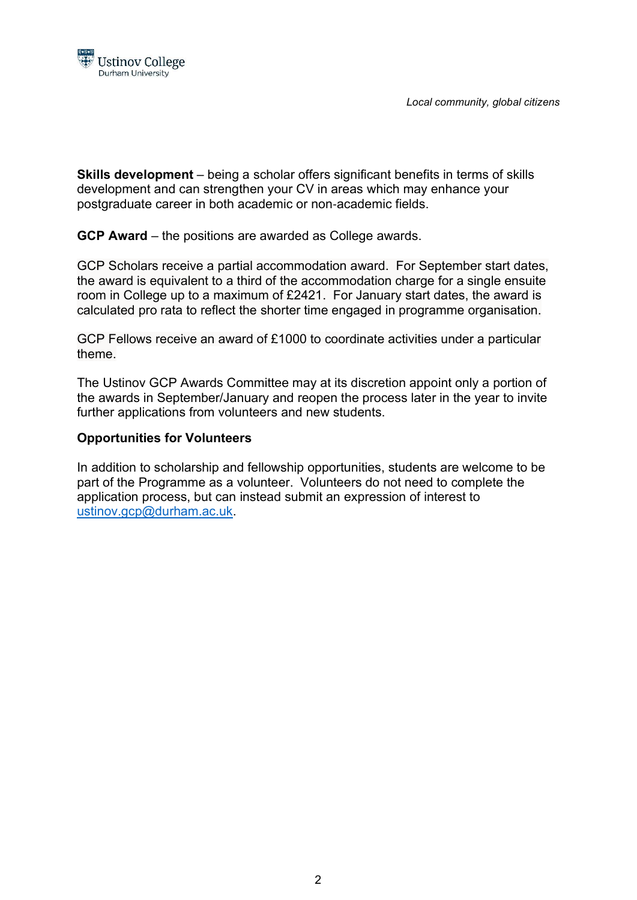

Local community, global citizens

Skills development – being a scholar offers significant benefits in terms of skills development and can strengthen your CV in areas which may enhance your postgraduate career in both academic or non‐academic fields.

GCP Award – the positions are awarded as College awards.

GCP Scholars receive a partial accommodation award. For September start dates, the award is equivalent to a third of the accommodation charge for a single ensuite room in College up to a maximum of £2421. For January start dates, the award is calculated pro rata to reflect the shorter time engaged in programme organisation.

GCP Fellows receive an award of £1000 to coordinate activities under a particular theme.

The Ustinov GCP Awards Committee may at its discretion appoint only a portion of the awards in September/January and reopen the process later in the year to invite further applications from volunteers and new students.

### Opportunities for Volunteers

In addition to scholarship and fellowship opportunities, students are welcome to be part of the Programme as a volunteer. Volunteers do not need to complete the application process, but can instead submit an expression of interest to ustinov.gcp@durham.ac.uk.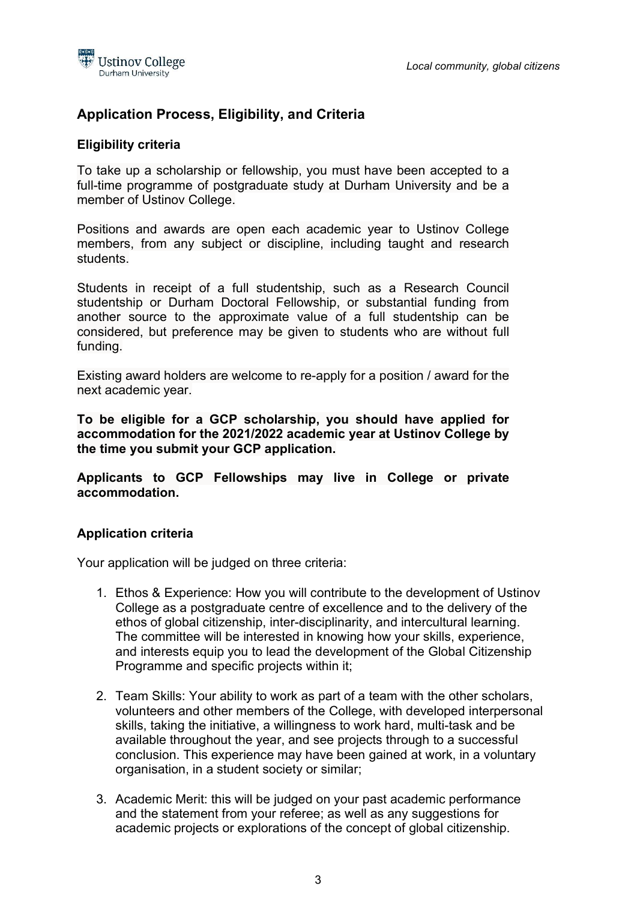

# Application Process, Eligibility, and Criteria

#### Eligibility criteria

To take up a scholarship or fellowship, you must have been accepted to a full-time programme of postgraduate study at Durham University and be a member of Ustinov College.

Positions and awards are open each academic year to Ustinov College members, from any subject or discipline, including taught and research students.

Students in receipt of a full studentship, such as a Research Council studentship or Durham Doctoral Fellowship, or substantial funding from another source to the approximate value of a full studentship can be considered, but preference may be given to students who are without full funding.

Existing award holders are welcome to re-apply for a position / award for the next academic year.

To be eligible for a GCP scholarship, you should have applied for accommodation for the 2021/2022 academic year at Ustinov College by the time you submit your GCP application.

Applicants to GCP Fellowships may live in College or private accommodation.

#### Application criteria

Your application will be judged on three criteria:

- 1. Ethos & Experience: How you will contribute to the development of Ustinov College as a postgraduate centre of excellence and to the delivery of the ethos of global citizenship, inter-disciplinarity, and intercultural learning. The committee will be interested in knowing how your skills, experience, and interests equip you to lead the development of the Global Citizenship Programme and specific projects within it;
- 2. Team Skills: Your ability to work as part of a team with the other scholars, volunteers and other members of the College, with developed interpersonal skills, taking the initiative, a willingness to work hard, multi-task and be available throughout the year, and see projects through to a successful conclusion. This experience may have been gained at work, in a voluntary organisation, in a student society or similar;
- 3. Academic Merit: this will be judged on your past academic performance and the statement from your referee; as well as any suggestions for academic projects or explorations of the concept of global citizenship.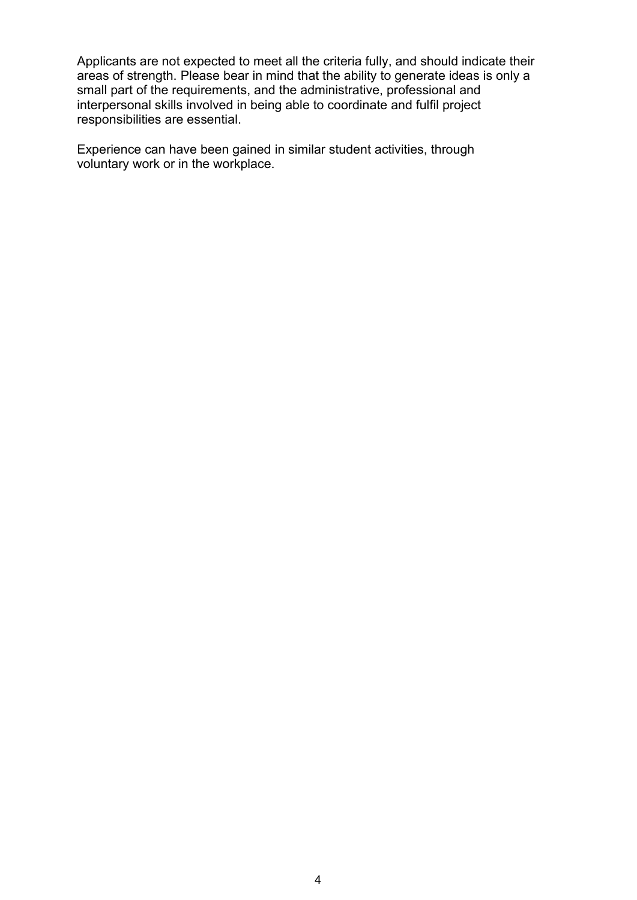Applicants are not expected to meet all the criteria fully, and should indicate their areas of strength. Please bear in mind that the ability to generate ideas is only a small part of the requirements, and the administrative, professional and interpersonal skills involved in being able to coordinate and fulfil project responsibilities are essential.

Experience can have been gained in similar student activities, through voluntary work or in the workplace.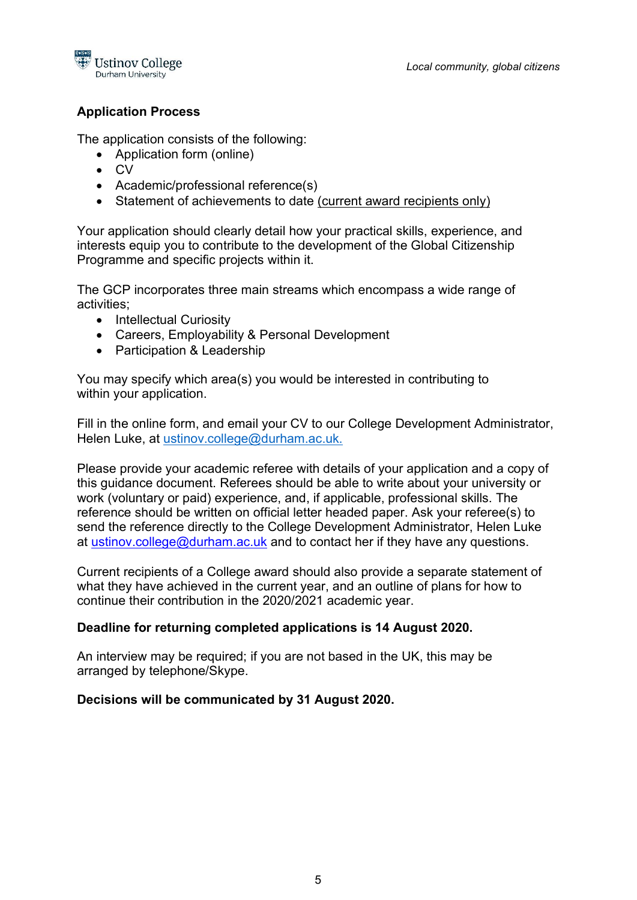

## Application Process

The application consists of the following:

- Application form (online)
- CV
- Academic/professional reference(s)
- Statement of achievements to date (current award recipients only)

Your application should clearly detail how your practical skills, experience, and interests equip you to contribute to the development of the Global Citizenship Programme and specific projects within it.

The GCP incorporates three main streams which encompass a wide range of activities;

- Intellectual Curiosity
- Careers, Employability & Personal Development
- Participation & Leadership

You may specify which area(s) you would be interested in contributing to within your application.

Fill in the online form, and email your CV to our College Development Administrator, Helen Luke, at ustinov.college@durham.ac.uk.

Please provide your academic referee with details of your application and a copy of this guidance document. Referees should be able to write about your university or work (voluntary or paid) experience, and, if applicable, professional skills. The reference should be written on official letter headed paper. Ask your referee(s) to send the reference directly to the College Development Administrator, Helen Luke at ustinov.college@durham.ac.uk and to contact her if they have any questions.

Current recipients of a College award should also provide a separate statement of what they have achieved in the current year, and an outline of plans for how to continue their contribution in the 2020/2021 academic year.

## Deadline for returning completed applications is 14 August 2020.

An interview may be required; if you are not based in the UK, this may be arranged by telephone/Skype.

### Decisions will be communicated by 31 August 2020.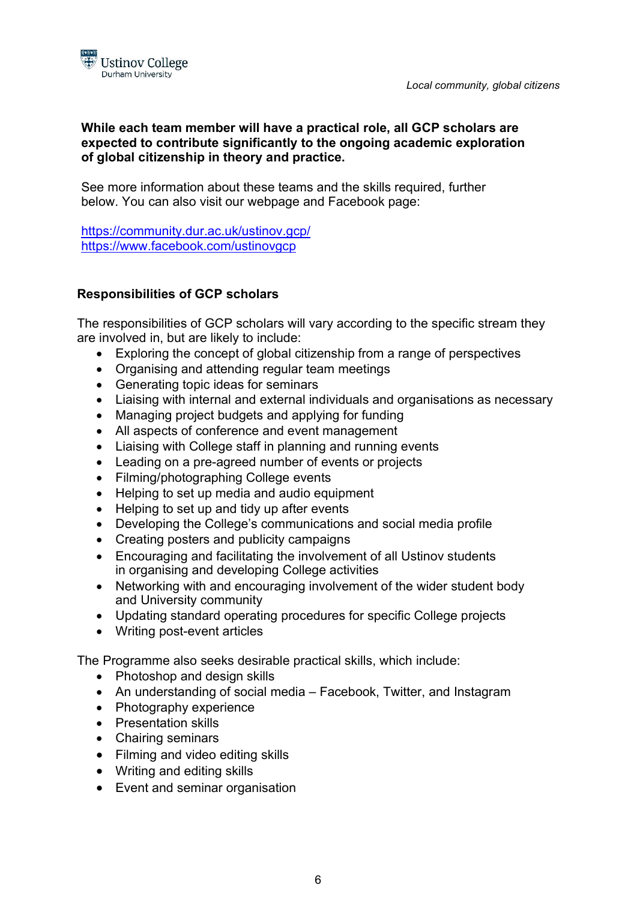

### While each team member will have a practical role, all GCP scholars are expected to contribute significantly to the ongoing academic exploration of global citizenship in theory and practice.

See more information about these teams and the skills required, further below. You can also visit our webpage and Facebook page:

https://community.dur.ac.uk/ustinov.gcp/ https://www.facebook.com/ustinovgcp

# Responsibilities of GCP scholars

The responsibilities of GCP scholars will vary according to the specific stream they are involved in, but are likely to include:

- Exploring the concept of global citizenship from a range of perspectives
- Organising and attending regular team meetings
- Generating topic ideas for seminars
- Liaising with internal and external individuals and organisations as necessary
- Managing project budgets and applying for funding
- All aspects of conference and event management
- Liaising with College staff in planning and running events
- Leading on a pre-agreed number of events or projects
- Filming/photographing College events
- Helping to set up media and audio equipment
- Helping to set up and tidy up after events
- Developing the College's communications and social media profile
- Creating posters and publicity campaigns
- Encouraging and facilitating the involvement of all Ustinov students in organising and developing College activities
- Networking with and encouraging involvement of the wider student body and University community
- Updating standard operating procedures for specific College projects
- Writing post-event articles

The Programme also seeks desirable practical skills, which include:

- Photoshop and design skills
- An understanding of social media Facebook, Twitter, and Instagram
- Photography experience
- Presentation skills
- Chairing seminars
- Filming and video editing skills
- Writing and editing skills
- Event and seminar organisation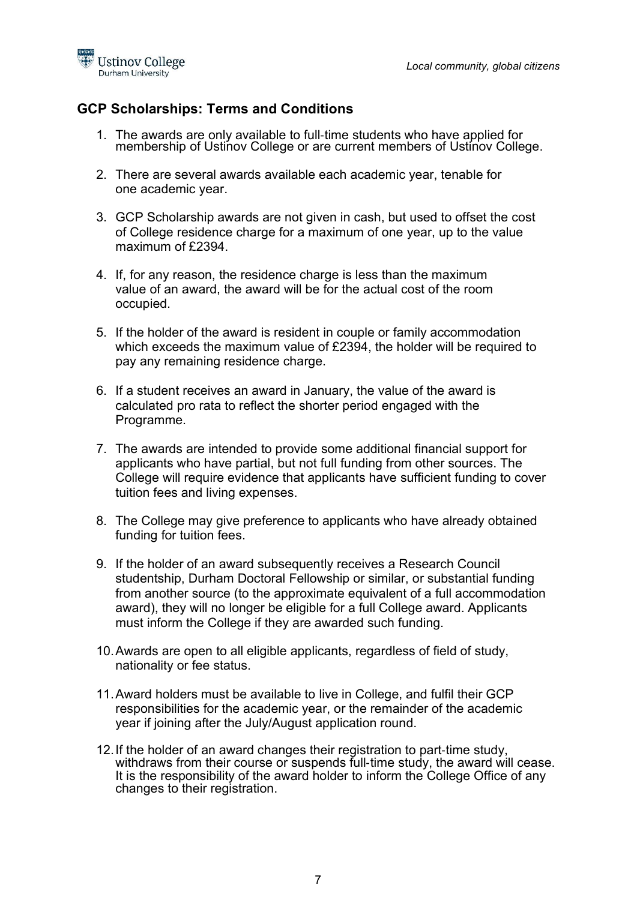

# GCP Scholarships: Terms and Conditions

- 1. The awards are only available to full‐time students who have applied for membership of Ustinov College or are current members of Ustinov College.
- 2. There are several awards available each academic year, tenable for one academic year.
- 3. GCP Scholarship awards are not given in cash, but used to offset the cost of College residence charge for a maximum of one year, up to the value maximum of £2394.
- 4. If, for any reason, the residence charge is less than the maximum value of an award, the award will be for the actual cost of the room occupied.
- 5. If the holder of the award is resident in couple or family accommodation which exceeds the maximum value of £2394, the holder will be required to pay any remaining residence charge.
- 6. If a student receives an award in January, the value of the award is calculated pro rata to reflect the shorter period engaged with the Programme.
- 7. The awards are intended to provide some additional financial support for applicants who have partial, but not full funding from other sources. The College will require evidence that applicants have sufficient funding to cover tuition fees and living expenses.
- 8. The College may give preference to applicants who have already obtained funding for tuition fees.
- 9. If the holder of an award subsequently receives a Research Council studentship, Durham Doctoral Fellowship or similar, or substantial funding from another source (to the approximate equivalent of a full accommodation award), they will no longer be eligible for a full College award. Applicants must inform the College if they are awarded such funding.
- 10. Awards are open to all eligible applicants, regardless of field of study, nationality or fee status.
- 11. Award holders must be available to live in College, and fulfil their GCP responsibilities for the academic year, or the remainder of the academic year if joining after the July/August application round.
- 12. If the holder of an award changes their registration to part‐time study, withdraws from their course or suspends full-time study, the award will cease. It is the responsibility of the award holder to inform the College Office of any changes to their registration.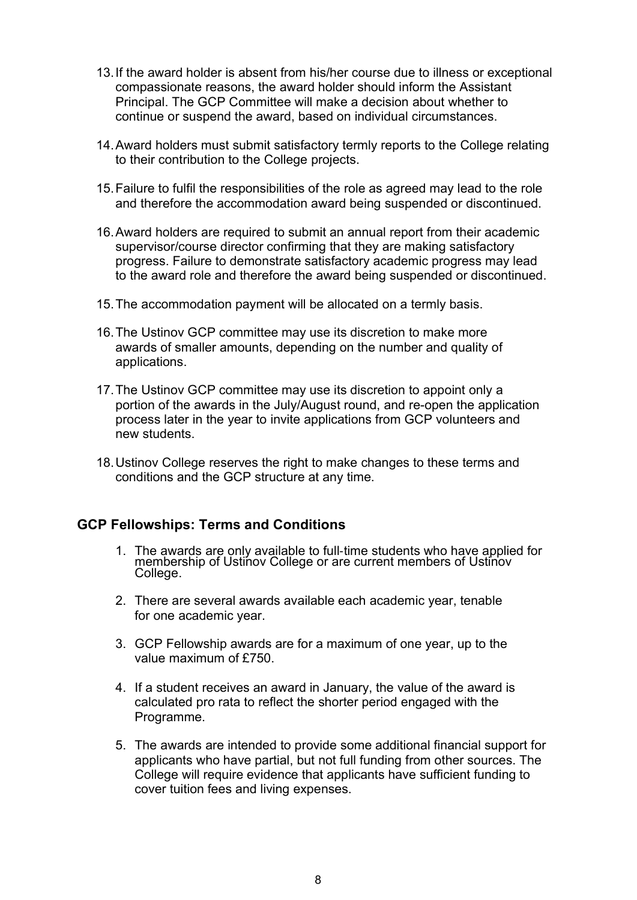- 13. If the award holder is absent from his/her course due to illness or exceptional compassionate reasons, the award holder should inform the Assistant Principal. The GCP Committee will make a decision about whether to continue or suspend the award, based on individual circumstances.
- 14. Award holders must submit satisfactory termly reports to the College relating to their contribution to the College projects.
- 15. Failure to fulfil the responsibilities of the role as agreed may lead to the role and therefore the accommodation award being suspended or discontinued.
- 16. Award holders are required to submit an annual report from their academic supervisor/course director confirming that they are making satisfactory progress. Failure to demonstrate satisfactory academic progress may lead to the award role and therefore the award being suspended or discontinued.
- 15. The accommodation payment will be allocated on a termly basis.
- 16. The Ustinov GCP committee may use its discretion to make more awards of smaller amounts, depending on the number and quality of applications.
- 17. The Ustinov GCP committee may use its discretion to appoint only a portion of the awards in the July/August round, and re-open the application process later in the year to invite applications from GCP volunteers and new students.
- 18. Ustinov College reserves the right to make changes to these terms and conditions and the GCP structure at any time.

### GCP Fellowships: Terms and Conditions

- 1. The awards are only available to full‐time students who have applied for membership of Ustinov College or are current members of Ustinov College.
- 2. There are several awards available each academic year, tenable for one academic year.
- 3. GCP Fellowship awards are for a maximum of one year, up to the value maximum of £750.
- 4. If a student receives an award in January, the value of the award is calculated pro rata to reflect the shorter period engaged with the Programme.
- 5. The awards are intended to provide some additional financial support for applicants who have partial, but not full funding from other sources. The College will require evidence that applicants have sufficient funding to cover tuition fees and living expenses.